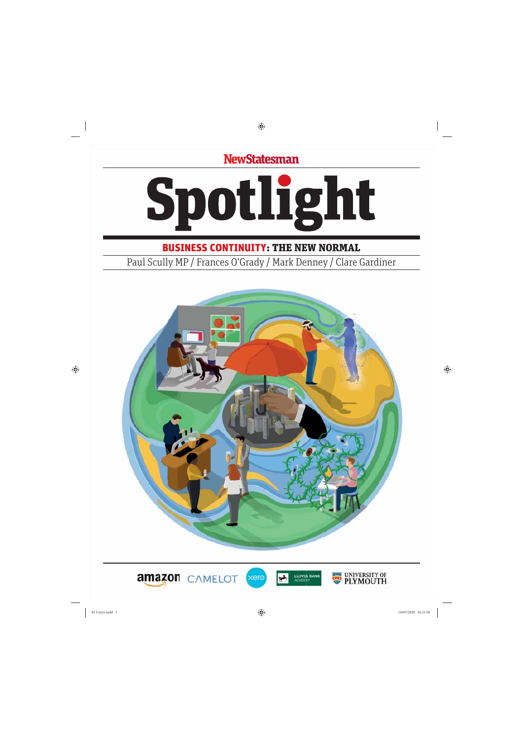**NewStatesman** 



BUSINESS CONTINUITY: THE NEW NORMAL

Paul Scully MP / Frances O'Grady / Mark Denney / Clare Gardiner



xerc





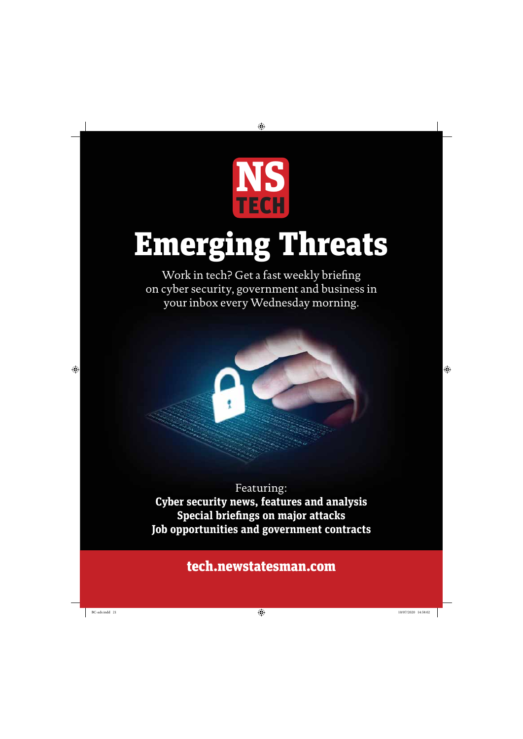

# Emerging Threats

Work in tech? Get a fast weekly briefing on cyber security, government and business in your inbox every Wednesday morning.



Featuring: **Cyber security news, features and analysis Special briefings on major attacks Job opportunities and government contracts**

tech.newstatesman.com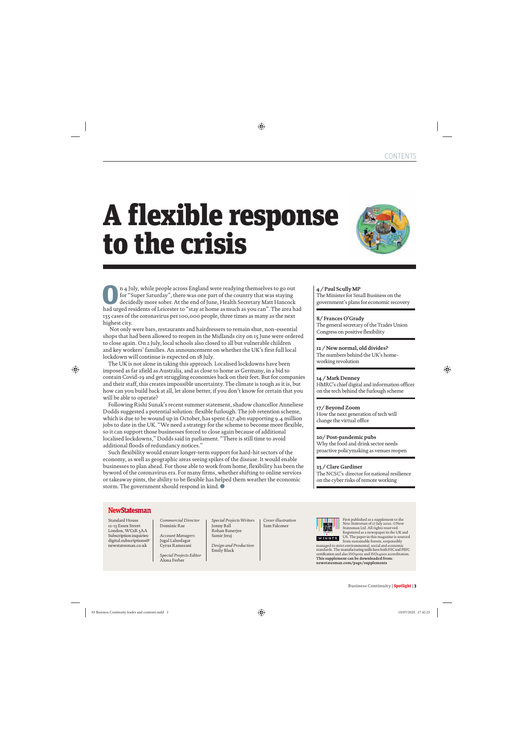### A flexible response to the crisis



**Our A July, while people across England were readying themselves to go out** for "Super Saturday", there was one part of the country that was staying decidedly more sober. At the end of June, Health Secretary Matt Hancock for "Super Saturday", there was one part of the country that was staying had urged residents of Leicester to "stay at home as much as you can". The area had 135 cases of the coronavirus per 100,000 people, three times as many as the next highest city.

 Not only were bars, restaurants and hairdressers to remain shut, non-essential shops that had been allowed to reopen in the Midlands city on 15 June were ordered to close again. On 2 July, local schools also closed to all but vulnerable children and key workers' families. An announcement on whether the UK's first full local lockdown will continue is expected on 18 July.

The UK is not alone in taking this approach. Localised lockdowns have been imposed as far afield as Australia, and as close to home as Germany, in a bid to contain Covid-19 and get struggling economies back on their feet. But for companies and their staff, this creates impossible uncertainty. The climate is tough as it is, but how can you build back at all, let alone better, if you don't know for certain that you will be able to operate?

Following Rishi Sunak's recent summer statement, shadow chancellor Anneliese Dodds suggested a potential solution: flexible furlough. The job retention scheme, which is due to be wound up in October, has spent £27.4bn supporting 9.4 million jobs to date in the UK. "We need a strategy for the scheme to become more flexible, so it can support those businesses forced to close again because of additional localised lockdowns," Dodds said in parliament. "There is still time to avoid additional floods of redundancy notices."

Such flexibility would ensure longer-term support for hard-hit sectors of the economy, as well as geographic areas seeing spikes of the disease. It would enable businesses to plan ahead. For those able to work from home, flexibility has been the byword of the coronavirus era. For many firms, whether shifting to online services or takeaway pints, the ability to be flexible has helped them weather the economic storm. The government should respond in kind.  $\bullet$ 

#### **4 / Paul Scully MP**

The Minister for Small Business on the government's plans for economic recovery

#### **8/ Frances O'Grady**

The general secretary of the Trades Union Congress on positive flexibility

#### **12 / New normal, old divides?**

The numbers behind the UK's homeworking revolution

#### **14 / Mark Denney**

HMRC's chief digital and information officer on the tech behind the furlough scheme

#### **17/ Beyond Zoom**

How the next generation of tech will change the virtual office

#### **20/ Post-pandemic pubs**

Why the food and drink sector needs proactive policymaking as venues reopen

#### **23 / Clare Gardiner**

The NCSC's director for national resilience on the cyber risks of remote working

#### **NewStatesman**

Standard House 12-13 Essex Street London, WC<sub>2</sub>R<sub>3</sub>AA Subscription inquiries: digital.subscriptions@ newstatesman.co.uk

*Commercial Director* Dominic Rae

*Account Managers* Jugal Lalsodagar Cyrus Ramezani

*Special Projects Editor* Alona Ferber

*Special Projects Writers* Jonny Ball Rohan Banerjee Samir Jeraj

*Design and Production* Emily Black

*Cover illustration* Sam Falconer



First published as a supplement to the *New Statesman* of 17 July 2020. ©New Statesman Ltd. All rights reserved. Registered as a newspaper in the UK and US. The paper in this magazine is sourced from sustainable forests, responsibly

managed to strict environmental, social and economic standards. The manufacturing mills have both FSC and PEFC certification and also ISO9001 and ISO14001 accreditation. **This supplement can be downloaded from: newstatesman.com/page/supplements**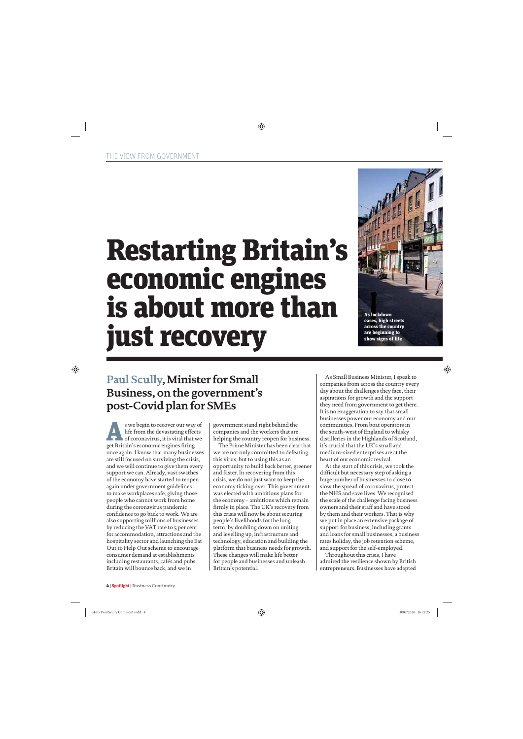# Restarting Britain's economic engines is about more than just recovery



### **Paul Scully, Minister for Small Business, on the government's post-Covid plan for SMEs**

s we begin to recover our way of<br>life from the devastating effects<br>of coronavirus, it is vital that we<br>get Britain's economic engines fring life from the devastating effects of coronavirus, it is vital that we get Britain's economic engines firing once again. I know that many businesses are still focused on surviving the crisis, and we will continue to give them every support we can. Already, vast swathes of the economy have started to reopen again under government guidelines to make workplaces safe, giving those people who cannot work from home during the coronavirus pandemic confidence to go back to work. We are also supporting millions of businesses by reducing the VAT rate to 5 per cent for accommodation, attractions and the hospitality sector and launching the Eat Out to Help Out scheme to encourage consumer demand at establishments including restaurants, cafés and pubs. Britain will bounce back, and we in

government stand right behind the companies and the workers that are helping the country reopen for business.

The Prime Minister has been clear that we are not only committed to defeating this virus, but to using this as an opportunity to build back better, greener and faster. In recovering from this crisis, we do not just want to keep the economy ticking over. This government was elected with ambitious plans for the economy – ambitions which remain firmly in place. The UK's recovery from this crisis will now be about securing people's livelihoods for the long term, by doubling down on uniting and levelling up, infrastructure and technology, education and building the platform that business needs for growth. These changes will make life better for people and businesses and unleash Britain's potential.

As Small Business Minister, I speak to companies from across the country every day about the challenges they face, their aspirations for growth and the support they need from government to get there. It is no exaggeration to say that small businesses power our economy and our communities. From boat operators in the south-west of England to whisky distilleries in the Highlands of Scotland, it's crucial that the UK's small and medium-sized enterprises are at the heart of our economic revival.

At the start of this crisis, we took the difficult but necessary step of asking a huge number of businesses to close to slow the spread of coronavirus, protect the NHS and save lives. We recognised the scale of the challenge facing business owners and their staff and have stood by them and their workers. That is why we put in place an extensive package of support for business, including grants and loans for small businesses, a business rates holiday, the job retention scheme, and support for the self-employed.

Throughout this crisis, I have admired the resilience shown by British entrepreneurs. Businesses have adapted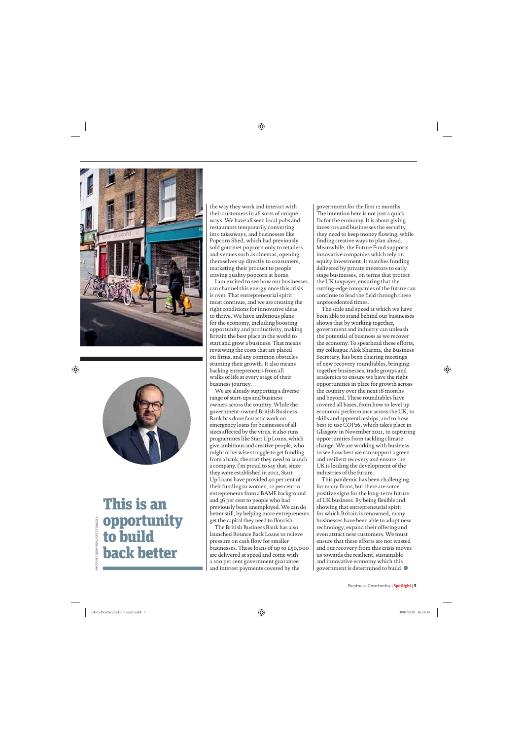



### This is an opportunity to build back better

the way they work and interact with their customers in all sorts of unique ways. We have all seen local pubs and restaurants temporarily converting into takeaways, and businesses like Popcorn Shed, which had previously sold gourmet popcorn only to retailers and venues such as cinemas, opening themselves up directly to consumers, marketing their product to people craving quality popcorn at home.

I am excited to see how our businesses can channel this energy once this crisis is over. That entrepreneurial spirit must continue, and we are creating the right conditions for innovative ideas to thrive. We have ambitious plans for the economy, including boosting opportunity and productivity, making Britain the best place in the world to start and grow a business. That means reviewing the costs that are placed on firms, and any common obstacles stunting their growth. It also means backing entrepreneurs from all walks of life at every stage of their business journey.

We are already supporting a diverse range of start-ups and business owners across the country. While the government-owned British Business Bank has done fantastic work on emergency loans for businesses of all sizes affected by the virus, it also runs programmes like Start Up Loans, which give ambitious and creative people, who might otherwise struggle to get funding from a bank, the start they need to launch a company. I'm proud to say that, since they were established in 2012, Start Up Loans have provided 40 per cent of their funding to women, 22 per cent to entrepreneurs from a BAME background and 36 per cent to people who had previously been unemployed. We can do better still, by helping more entrepreneurs get the capital they need to flourish.

The British Business Bank has also launched Bounce Back Loans to relieve pressure on cash flow for smaller businesses. These loans of up to £50,000 are delivered at speed and come with a 100 per cent government guarantee and interest payments covered by the

government for the first 12 months. The intention here is not just a quick fix for the economy. It is about giving investors and businesses the security they need to keep money flowing, while finding creative ways to plan ahead. Meanwhile, the Future Fund supports innovative companies which rely on equity investment. It matches funding delivered by private investors to early stage businesses, on terms that protect the UK taxpayer, ensuring that the cutting-edge companies of the future can continue to lead the field through these unprecedented times.

The scale and speed at which we have been able to stand behind our businesses shows that by working together, government and industry can unleash the potential of business as we recover the economy. To spearhead these efforts, my colleague Alok Sharma, the Business Secretary, has been chairing meetings of new recovery roundtables, bringing together businesses, trade groups and academics to ensure we have the right opportunities in place for growth across the country over the next 18 months and beyond. These roundtables have covered all bases, from how to level up economic performance across the UK, to skills and apprenticeships, and to how best to use COP26, which takes place in Glasgow in November 2021, to capturing opportunities from tackling climate change. We are working with business to see how best we can support a green and resilient recovery and ensure the UK is leading the development of the industries of the future.

This pandemic has been challenging for many firms, but there are some positive signs for the long-term future of UK business. By being flexible and showing that entrepreneurial spirit for which Britain is renowned, many businesses have been able to adopt new technology, expand their offering and even attract new customers. We must ensure that these efforts are not wasted and our recovery from this crisis moves us towards the resilient, sustainable and innovative economy which this government is determined to build.  $\bullet$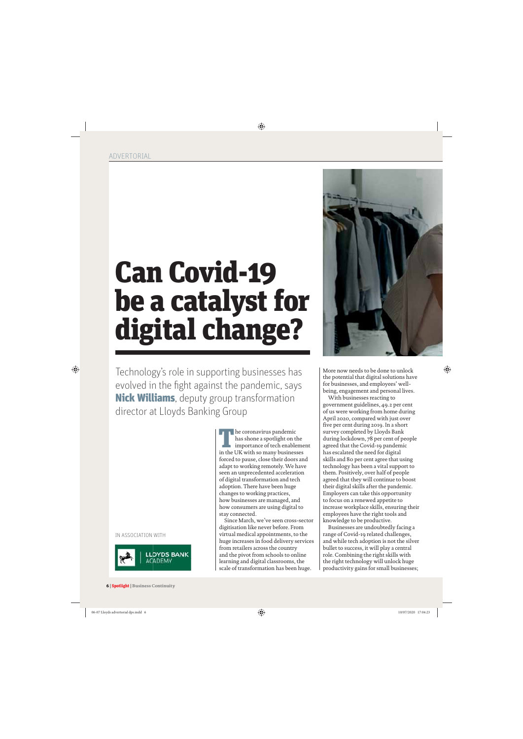# Can Covid-19 be a catalyst for digital change?

Technology's role in supporting businesses has evolved in the fight against the pandemic, says Nick Williams, deputy group transformation director at Lloyds Banking Group

IN ASSOCIATION WITH



The coronavirus pandemic<br>has shone a spotlight on t<br>importance of tech enable has shone a spotlight on the importance of tech enablement in the UK with so many businesses forced to pause, close their doors and adapt to working remotely. We have seen an unprecedented acceleration of digital transformation and tech adoption. There have been huge changes to working practices, how businesses are managed, and how consumers are using digital to stay connected.

Since March, we've seen cross-sector digitisation like never before. From virtual medical appointments, to the huge increases in food delivery services from retailers across the country and the pivot from schools to online learning and digital classrooms, the scale of transformation has been huge.



More now needs to be done to unlock the potential that digital solutions have for businesses, and employees' wellbeing, engagement and personal lives.

With businesses reacting to government guidelines, 49.2 per cent of us were working from home during April 2020, compared with just over five per cent during 2019. In a short survey completed by Lloyds Bank during lockdown, 78 per cent of people agreed that the Covid-19 pandemic has escalated the need for digital skills and 80 per cent agree that using technology has been a vital support to them. Positively, over half of people agreed that they will continue to boost their digital skills after the pandemic. Employers can take this opportunity to focus on a renewed appetite to increase workplace skills, ensuring their employees have the right tools and knowledge to be productive.

Businesses are undoubtedly facing a range of Covid-19 related challenges, and while tech adoption is not the silver bullet to success, it will play a central role. Combining the right skills with the right technology will unlock huge productivity gains for small businesses;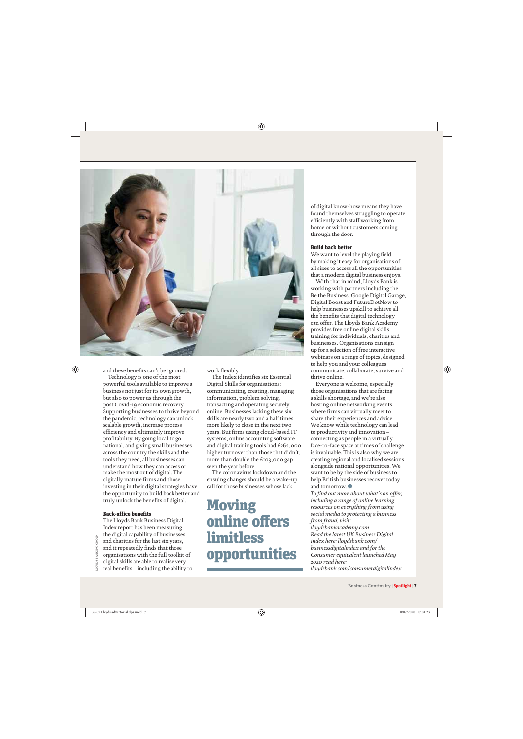

and these benefits can't be ignored.

Technology is one of the most powerful tools available to improve a business not just for its own growth, but also to power us through the post Covid-19 economic recovery. Supporting businesses to thrive beyond the pandemic, technology can unlock scalable growth, increase process efficiency and ultimately improve profitability. By going local to go national, and giving small businesses across the country the skills and the tools they need, all businesses can understand how they can access or make the most out of digital. The digitally mature firms and those investing in their digital strategies have the opportunity to build back better and truly unlock the benefits of digital.

#### Back-office benefits

The Lloyds Bank Business Digital Index report has been measuring the digital capability of businesses and charities for the last six years, and it repeatedly finds that those organisations with the full toolkit of digital skills are able to realise very real benefits – including the ability to work flexibly.

The Index identifies six Essential Digital Skills for organisations: communicating, creating, managing information, problem solving, transacting and operating securely online. Businesses lacking these six skills are nearly two and a half times more likely to close in the next two years. But firms using cloud-based IT systems, online accounting software and digital training tools had £262,000 higher turnover than those that didn't, more than double the £103,000 gap seen the year before.

The coronavirus lockdown and the ensuing changes should be a wake-up call for those businesses whose lack

### Moving online offers limitless opportunities

of digital know-how means they have found themselves struggling to operate efficiently with staff working from home or without customers coming through the door.

#### Build back better

We want to level the playing field by making it easy for organisations of all sizes to access all the opportunities that a modern digital business enjoys.

With that in mind, Lloyds Bank is working with partners including the Be the Business, Google Digital Garage, Digital Boost and FutureDotNow to help businesses upskill to achieve all the benefits that digital technology can offer. The Lloyds Bank Academy provides free online digital skills training for individuals, charities and businesses. Organisations can sign up for a selection of free interactive webinars on a range of topics, designed to help you and your colleagues communicate, collaborate, survive and thrive online.

Everyone is welcome, especially those organisations that are facing a skills shortage, and we're also hosting online networking events where firms can virtually meet to share their experiences and advice. We know while technology can lead to productivity and innovation – connecting as people in a virtually face-to-face space at times of challenge is invaluable. This is also why we are creating regional and localised sessions alongside national opportunities. We want to be by the side of business to help British businesses recover today and tomorrow. $\bullet$ 

*To find out more about what's on offer, including a range of online learning resources on everything from using social media to protecting a business from fraud, visit:* 

*lloydsbankacademy.com Read the latest UK Business Digital Index here: lloydsbank.com/ businessdigitalindex and for the Consumer equivalent launched May 2020 read here: lloydsbank.com/consumerdigitalindex*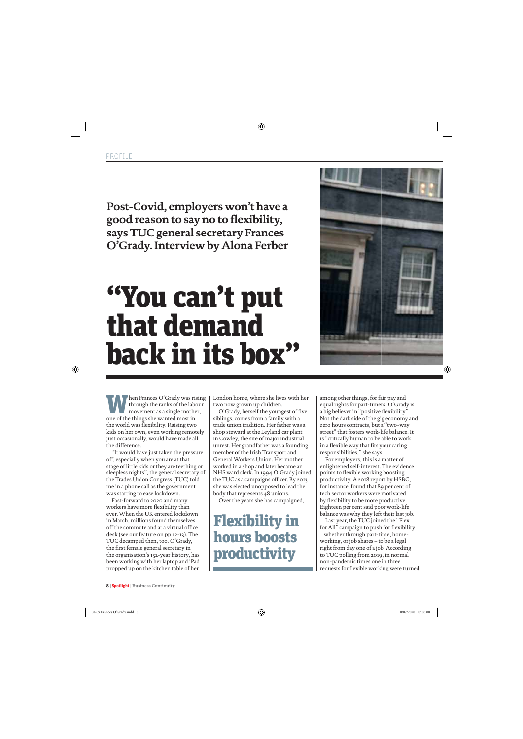**Post-Covid, employers won't have a good reason to say no to flexibility, says TUC general secretary Frances O'Grady. Interview by Alona Ferber**

### "You can't put that demand back in its box"



When Frances O'Grady was rising<br>through the ranks of the labour<br>movement as a single mother,<br>one of the things she wanted most in through the ranks of the labour one of the things she wanted most in the world was flexibility. Raising two kids on her own, even working remotely just occasionally, would have made all the difference.

"It would have just taken the pressure off, especially when you are at that stage of little kids or they are teething or sleepless nights", the general secretary of the Trades Union Congress (TUC) told me in a phone call as the government was starting to ease lockdown.

Fast-forward to 2020 and many workers have more flexibility than ever. When the UK entered lockdown in March, millions found themselves off the commute and at a virtual office desk (see our feature on pp.12-13). The TUC decamped then, too. O'Grady, the first female general secretary in the organisation's 152-year history, has been working with her laptop and iPad propped up on the kitchen table of her

London home, where she lives with her two now grown up children.

O'Grady, herself the youngest of five siblings, comes from a family with a trade union tradition. Her father was a shop steward at the Leyland car plant in Cowley, the site of major industrial unrest. Her grandfather was a founding member of the Irish Transport and General Workers Union. Her mother worked in a shop and later became an NHS ward clerk. In 1994 O'Grady joined the TUC as a campaigns officer. By 2013 she was elected unopposed to lead the body that represents 48 unions.

Over the years she has campaigned,

Flexibility in hours boosts productivity

among other things, for fair pay and equal rights for part-timers. O'Grady is a big believer in "positive flexibility". Not the dark side of the gig economy and zero hours contracts, but a "two-way street" that fosters work-life balance. It is "critically human to be able to work in a flexible way that fits your caring responsibilities," she says.

For employers, this is a matter of enlightened self-interest. The evidence points to flexible working boosting productivity. A 2018 report by HSBC, for instance, found that 89 per cent of tech sector workers were motivated by flexibility to be more productive. Eighteen per cent said poor work-life balance was why they left their last job.

Last year, the TUC joined the "Flex for All" campaign to push for flexibility – whether through part-time, homeworking, or job shares – to be a legal right from day one of a job. According to TUC polling from 2019, in normal non-pandemic times one in three requests for flexible working were turned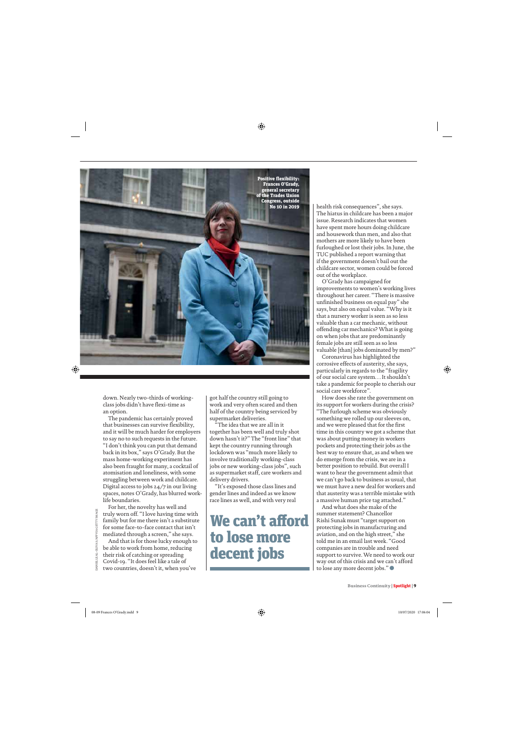

down. Nearly two-thirds of workingclass jobs didn't have flexi-time as an option.

The pandemic has certainly proved that businesses can survive flexibility, and it will be much harder for employers to say no to such requests in the future. "I don't think you can put that demand back in its box," says O'Grady. But the mass home-working experiment has also been fraught for many, a cocktail of atomisation and loneliness, with some struggling between work and childcare. Digital access to jobs 24/7 in our living spaces, notes O'Grady, has blurred worklife boundaries.

For her, the novelty has well and truly worn off. "I love having time with family but for me there isn't a substitute for some face-to-face contact that isn't mediated through a screen," she says.

And that is for those lucky enough to be able to work from home, reducing their risk of catching or spreading Covid-19. "It does feel like a tale of two countries, doesn't it, when you've

got half the country still going to work and very often scared and then half of the country being serviced by supermarket deliveries.

"The idea that we are all in it together has been well and truly shot down hasn't it?" The "front line" that kept the country running through lockdown was "much more likely to involve traditionally working-class jobs or new working-class jobs", such as supermarket staff, care workers and delivery drivers.

"It's exposed those class lines and gender lines and indeed as we know race lines as well, and with very real

### We can't afford to lose more decent jobs

health risk consequences", she says. The hiatus in childcare has been a major issue. Research indicates that women have spent more hours doing childcare and housework than men, and also that mothers are more likely to have been furloughed or lost their jobs. In June, the TUC published a report warning that if the government doesn't bail out the childcare sector, women could be forced out of the workplace.

O'Grady has campaigned for improvements to women's working lives throughout her career. "There is massive unfinished business on equal pay" she says, but also on equal value. "Why is it that a nursery worker is seen as so less valuable than a car mechanic, without offending car mechanics? What is going on when jobs that are predominantly female jobs are still seen as so less valuable [than] jobs dominated by men?"

Coronavirus has highlighted the corrosive effects of austerity, she says, particularly in regards to the "fragility of our social care system… It shouldn't take a pandemic for people to cherish our social care workforce".

How does she rate the government on its support for workers during the crisis? "The furlough scheme was obviously something we rolled up our sleeves on, and we were pleased that for the first time in this country we got a scheme that was about putting money in workers pockets and protecting their jobs as the best way to ensure that, as and when we do emerge from the crisis, we are in a better position to rebuild. But overall I want to hear the government admit that we can't go back to business as usual, that we must have a new deal for workers and that austerity was a terrible mistake with a massive human price tag attached."

And what does she make of the summer statement? Chancellor Rishi Sunak must "target support on protecting jobs in manufacturing and aviation, and on the high street," she told me in an email last week. "Good companies are in trouble and need support to survive. We need to work our way out of this crisis and we can't afford to lose any more decent jobs."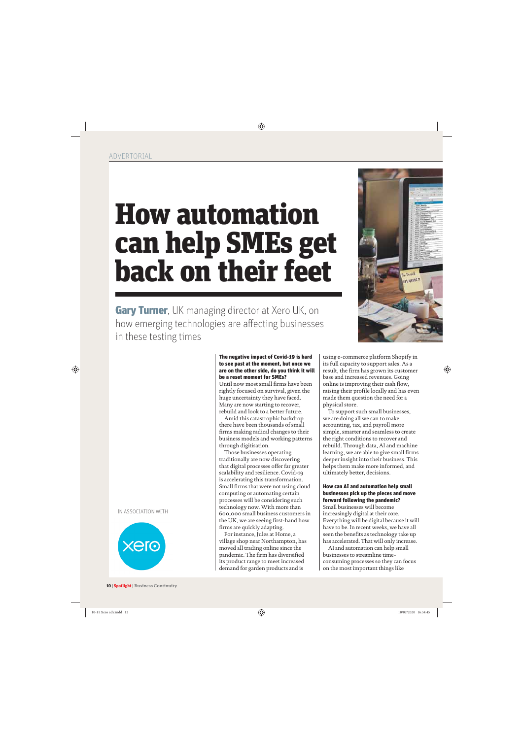# How automation can help SMEs get back on their feet

**Gary Turner**, UK managing director at Xero UK, on how emerging technologies are affecting businesses in these testing times

#### IN ASSOCIATION WITH



#### 10 | Spotlight | **Business Continuity**

#### The negative impact of Covid-19 is hard to see past at the moment, but once we are on the other side, do you think it will be a reset moment for SMEs?

Until now most small firms have been rightly focused on survival, given the huge uncertainty they have faced. Many are now starting to recover, rebuild and look to a better future.

Amid this catastrophic backdrop there have been thousands of small firms making radical changes to their business models and working patterns through digitisation.

Those businesses operating traditionally are now discovering that digital processes offer far greater scalability and resilience. Covid-19 is accelerating this transformation. Small firms that were not using cloud computing or automating certain processes will be considering such technology now. With more than 600,000 small business customers in the UK, we are seeing first-hand how firms are quickly adapting.

For instance, Jules at Home, a village shop near Northampton, has moved all trading online since the pandemic. The firm has diversified its product range to meet increased demand for garden products and is

using e-commerce platform Shopify in its full capacity to support sales. As a result, the firm has grown its customer base and increased revenues. Going online is improving their cash flow, raising their profile locally and has even made them question the need for a physical store.

To support such small businesses, we are doing all we can to make accounting, tax, and payroll more simple, smarter and seamless to create the right conditions to recover and rebuild. Through data, AI and machine learning, we are able to give small firms deeper insight into their business. This helps them make more informed, and ultimately better, decisions.

#### How can AI and automation help small businesses pick up the pieces and move forward following the pandemic?

Small businesses will become increasingly digital at their core. Everything will be digital because it will have to be. In recent weeks, we have all seen the benefits as technology take up has accelerated. That will only increase.

AI and automation can help small businesses to streamline timeconsuming processes so they can focus on the most important things like

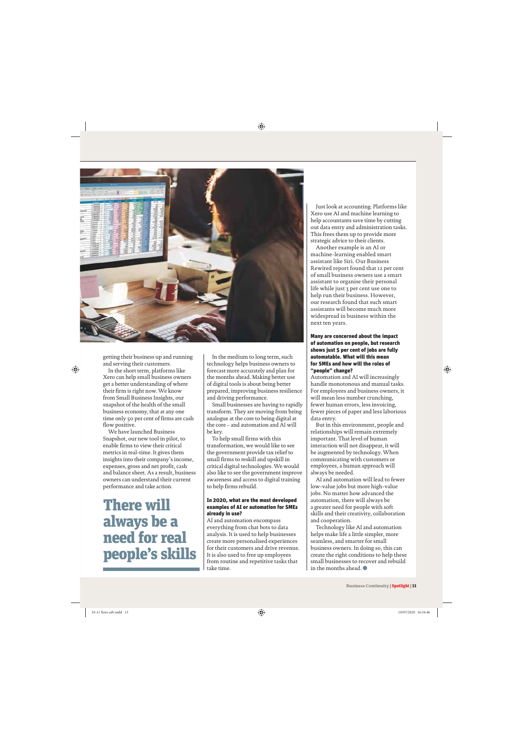

getting their business up and running and serving their customers.

In the short term, platforms like Xero can help small business owners get a better understanding of where their firm is right now. We know from Small Business Insights, our snapshot of the health of the small business economy, that at any one time only 50 per cent of firms are cash flow positive.

We have launched Business Snapshot, our new tool in pilot, to enable firms to view their critical metrics in real-time. It gives them insights into their company's income, expenses, gross and net profit, cash and balance sheet. As a result, business owners can understand their current performance and take action.

There will always be a need for real people's skills

In the medium to long term, such technology helps business owners to forecast more accurately and plan for the months ahead. Making better use of digital tools is about being better prepared, improving business resilience and driving performance.

Small businesses are having to rapidly transform. They are moving from being analogue at the core to being digital at the core – and automation and AI will be key.

To help small firms with this transformation, we would like to see the government provide tax relief to small firms to reskill and upskill in critical digital technologies. We would also like to see the government improve awareness and access to digital training to help firms rebuild.

#### In 2020, what are the most developed examples of AI or automation for SMEs already in use?

AI and automation encompass everything from chat bots to data analysis. It is used to help businesses create more personalised experiences for their customers and drive revenue. It is also used to free up employees from routine and repetitive tasks that take time.

Just look at accounting. Platforms like Xero use AI and machine learning to help accountants save time by cutting out data entry and administration tasks. This frees them up to provide more strategic advice to their clients.

Another example is an AI or machine-learning enabled smart assistant like Siri. Our Business Rewired report found that 12 per cent of small business owners use a smart assistant to organise their personal life while just 3 per cent use one to help run their business. However, our research found that such smart assistants will become much more widespread in business within the next ten years.

#### Many are concerned about the impact of automation on people, but research shows just 5 per cent of jobs are fully automatable. What will this mean for SMEs and how will the roles of "people" change?

Automation and AI will increasingly handle monotonous and manual tasks. For employees and business owners, it will mean less number crunching, fewer human errors, less invoicing, fewer pieces of paper and less laborious data entry.

But in this environment, people and relationships will remain extremely important. That level of human interaction will not disappear, it will be augmented by technology. When communicating with customers or employees, a human approach will always be needed.

AI and automation will lead to fewer low-value jobs but more high-value jobs. No matter how advanced the automation, there will always be a greater need for people with soft skills and their creativity, collaboration and cooperation.

Technology like AI and automation helps make life a little simpler, more seamless, and smarter for small business owners. In doing so, this can create the right conditions to help these small businesses to recover and rebuild in the months ahead.  $\bullet$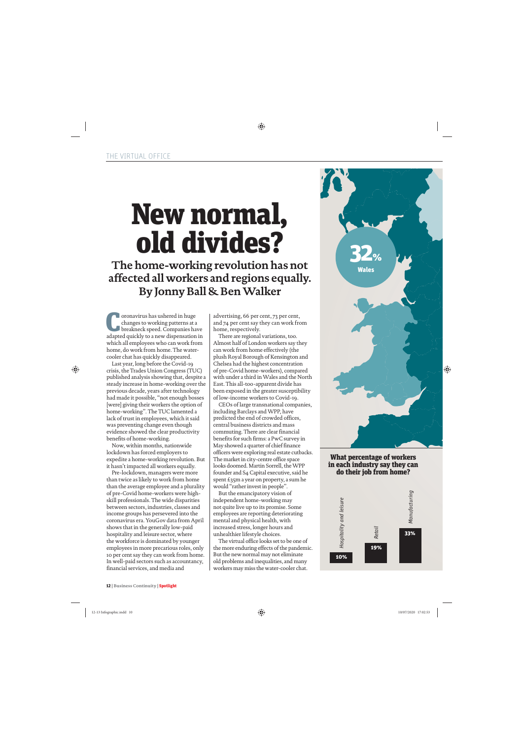# New normal, old divides?

**The home-working revolution has not affected all workers and regions equally. By Jonny Ball & Ben Walker**

**C** oronavirus has ushered in huge<br>changes to working patterns at a<br>breakneck speed. Companies has changes to working patterns at a breakneck speed. Companies have adapted quickly to a new dispensation in which all employees who can work from home, do work from home. The watercooler chat has quickly disappeared.

Last year, long before the Covid-19 crisis, the Trades Union Congress (TUC) published analysis showing that, despite a steady increase in home-working over the previous decade, years after technology had made it possible, "not enough bosses [were] giving their workers the option of home-working". The TUC lamented a lack of trust in employees, which it said was preventing change even though evidence showed the clear productivity benefits of home-working.

Now, within months, nationwide lockdown has forced employers to expedite a home-working revolution. But it hasn't impacted all workers equally.

Pre-lockdown, managers were more than twice as likely to work from home than the average employee and a plurality of pre-Covid home-workers were highskill professionals. The wide disparities between sectors, industries, classes and income groups has persevered into the coronavirus era. YouGov data from April shows that in the generally low-paid hospitality and leisure sector, where the workforce is dominated by younger employees in more precarious roles, only 10 per cent say they can work from home. In well-paid sectors such as accountancy, financial services, and media and

advertising, 66 per cent, 73 per cent, and 74 per cent say they can work from home, respectively.

There are regional variations, too. Almost half of London workers say they can work from home effectively (the plush Royal Borough of Kensington and Chelsea had the highest concentration of pre-Covid home-workers), compared with under a third in Wales and the North East. This all-too-apparent divide has been exposed in the greater susceptibility of low-income workers to Covid-19.

CEOs of large transnational companies, including Barclays and WPP, have predicted the end of crowded offices, central business districts and mass commuting. There are clear financial benefits for such firms: a PwC survey in May showed a quarter of chief finance officers were exploring real estate cutbacks. The market in city-centre office space looks doomed. Martin Sorrell, the WPP founder and S4 Capital executive, said he spent £35m a year on property, a sum he would "rather invest in people".

But the emancipatory vision of independent home-working may not quite live up to its promise. Some employees are reporting deteriorating mental and physical health, with increased stress, longer hours and unhealthier lifestyle choices.

The virtual office looks set to be one of the more enduring effects of the pandemic. But the new normal may not eliminate old problems and inequalities, and many workers may miss the water-cooler chat.



#### What percentage of workers in each industry say they can do their job from home?

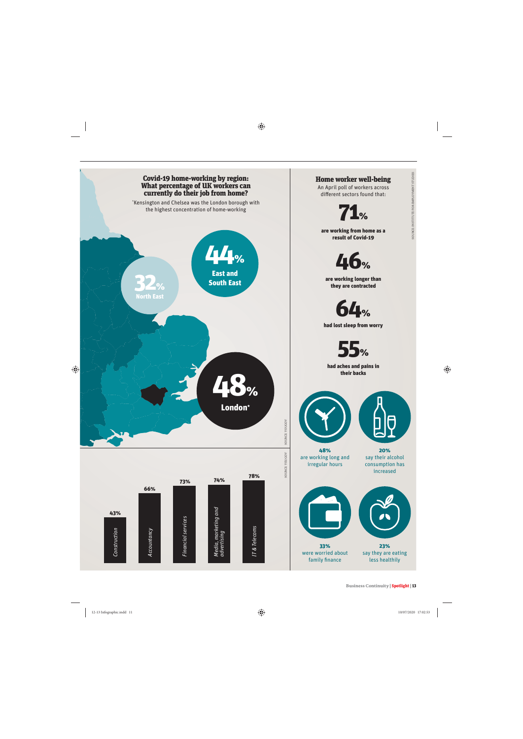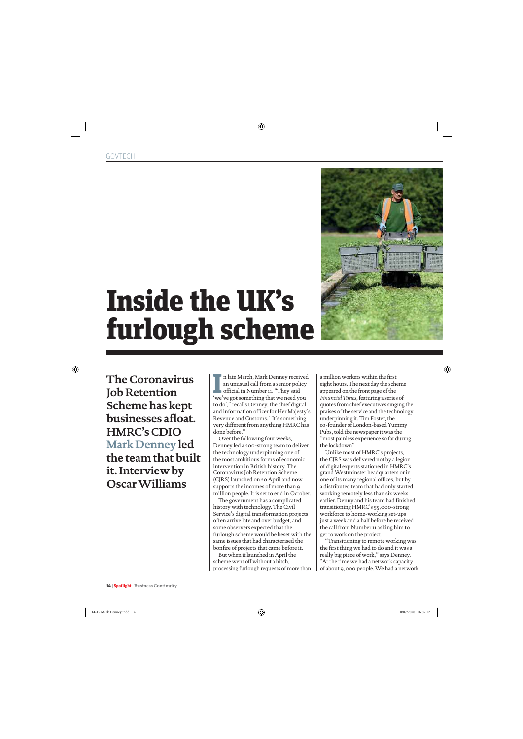

# Inside the UK's furlough scheme

**The Coronavirus Job Retention Scheme has kept businesses afloat. HMRC's CDIO Mark Denney led the team that built it. Interview by Oscar Williams**

I alte March, Mark Denney received<br>an unusual call from a senior policy<br>official in Number 11. "They said<br>'we've got something that we need you n late March, Mark Denney received an unusual call from a senior policy official in Number 11. "They said to do'," recalls Denney, the chief digital and information officer for Her Majesty's Revenue and Customs. "It's something very different from anything HMRC has done before."

Over the following four weeks, Denney led a 200-strong team to deliver the technology underpinning one of the most ambitious forms of economic intervention in British history. The Coronavirus Job Retention Scheme (CJRS) launched on 20 April and now supports the incomes of more than 9 million people. It is set to end in October.

The government has a complicated history with technology. The Civil Service's digital transformation projects often arrive late and over budget, and some observers expected that the furlough scheme would be beset with the same issues that had characterised the bonfire of projects that came before it.

But when it launched in April the scheme went off without a hitch, processing furlough requests of more than a million workers within the first eight hours. The next day the scheme appeared on the front page of the *Financial Times*, featuring a series of quotes from chief executives singing the praises of the service and the technology underpinning it. Tim Foster, the co-founder of London-based Yummy Pubs, told the newspaper it was the "most painless experience so far during the lockdown".

Unlike most of HMRC's projects, the CJRS was delivered not by a legion of digital experts stationed in HMRC's grand Westminster headquarters or in one of its many regional offices, but by a distributed team that had only started working remotely less than six weeks earlier. Denny and his team had finished transitioning HMRC's 55,000-strong workforce to home-working set-ups just a week and a half before he received the call from Number 11 asking him to get to work on the project.

"Transitioning to remote working was the first thing we had to do and it was a really big piece of work," says Denney. "At the time we had a network capacity of about 9,000 people. We had a network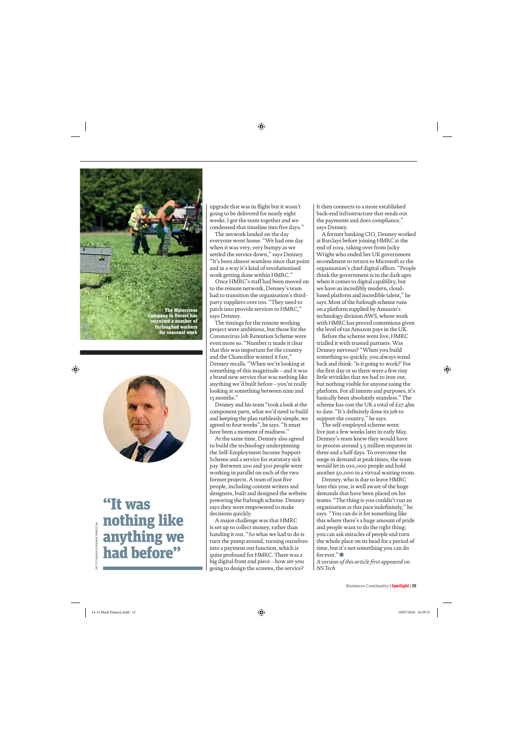



### "It was nothing like anything we had before"

upgrade that was in flight but it wasn't going to be delivered for nearly eight weeks. I got the team together and we condensed that timeline into five days."

The network landed on the day everyone went home. "We had one day when it was very, very bumpy as we settled the service down," says Denney. "It's been almost seamless since that point and in a way it's kind of revolutionised work getting done within HMRC."

Once HMRC's staff had been moved on to the remote network, Denney's team had to transition the organisation's thirdparty suppliers over too. "They need to patch into provide services to HMRC," says Denney.

The timings for the remote working project were ambitious, but those for the Coronavirus Job Retention Scheme were even more so. "Number 11 made it clear that this was important for the country and the Chancellor wanted it fast," Denney recalls. "When we're looking at something of this magnitude – and it was a brand new service that was nothing like anything we'd built before – you're really looking at something between nine and 15 months."

Denney and his team "took a look at the component parts, what we'd need to build and keeping the plan ruthlessly simple, we agreed to four weeks", he says. "It must have been a moment of madness."

At the same time, Denney also agreed to build the technology underpinning the Self-Employment Income Support Scheme and a service for statutory sick pay. Between 200 and 300 people were working in parallel on each of the two former projects. A team of just five people, including content writers and designers, built and designed the website powering the furlough scheme. Denney says they were empowered to make decisions quickly.

A major challenge was that HMRC is set up to collect money, rather than handing it out. "So what we had to do is turn the pump around, turning ourselves into a payment out function, which is quite profound for HMRC. There was a big digital front end piece – how are you going to design the screens, the service?

It then connects to a more established back-end infrastructure that sends out the payments and does compliance," says Denney.

A former banking CIO, Denney worked at Barclays before joining HMRC at the end of 2019, taking over from Jacky Wright who ended her UK government secondment to return to Microsoft as the organisation's chief digital officer. "People think the government is in the dark ages when it comes to digital capability, but we have an incredibly modern, cloudbased platform and incredible talent," he says. Most of the furlough scheme runs on a platform supplied by Amazon's technology division AWS, whose work with HMRC has proved contentious given the level of tax Amazon pays in the UK.

Before the scheme went live, HMRC trialled it with trusted partners. Was Denney nervous? "When you build something so quickly, you always stand back and think: 'Is it going to work?' For the first day or so there were a few tiny little wrinkles that we had to iron out, but nothing visible for anyone using the platform. For all intents and purposes, it's basically been absolutely seamless." The scheme has cost the UK a total of £27.4bn to date. "It's definitely done its job to support the country," he says.

The self-employed scheme went live just a few weeks later in early May. Denney's team knew they would have to process around 3.5 million requests in three and a half days. To overcome the surge in demand at peak times, the team would let in 100,000 people and hold another 50,000 in a virtual waiting room.

Denney, who is due to leave HMRC later this year, is well aware of the huge demands that have been placed on his teams. "The thing is you couldn't run an organisation at this pace indefinitely," he says. "You can do it for something like this where there's a huge amount of pride and people want to do the right thing; you can ask miracles of people and turn the whole place on its head for a period of time, but it's not something you can do for ever." $\bullet$ 

*A version of this article first appeared on NS Tech*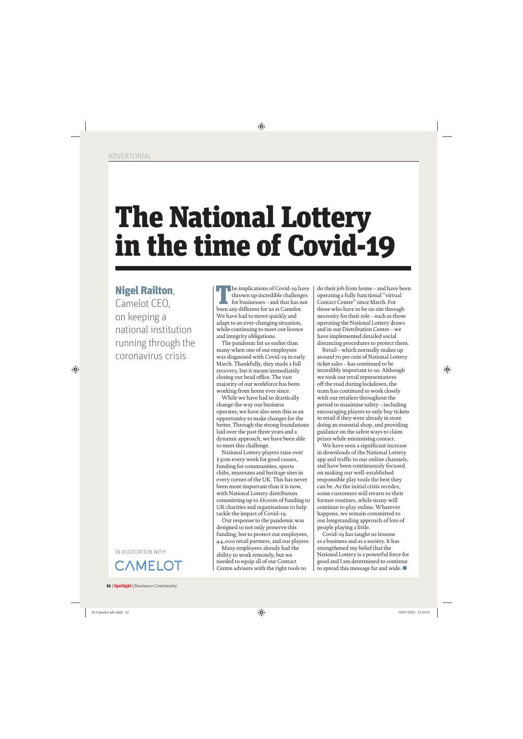## The National Lottery in the time of Covid-19

### Nigel Railton,

Camelot CEO, on keeping a national institution running through the coronavirus crisis

IN ASSOCIATION WITH



The implications of Covid-19 have thrown up incredible challenges for businesses – and that has not been any different for us at Camelot. We have had to move quickly and adapt to an ever-changing situation, while continuing to meet our licence and integrity obligations.

The pandemic hit us earlier than many when one of our employees was diagnosed with Covid-19 in early March. Thankfully, they made a full recovery, but it meant immediately closing our head office. The vast majority of our workforce has been working from home ever since.

While we have had to drastically change the way our business operates, we have also seen this as an opportunity to make changes for the better. Through the strong foundations laid over the past three years and a dynamic approach, we have been able to meet this challenge.

National Lottery players raise over £30m every week for good causes, funding for communities, sports clubs, museums and heritage sites in every corner of the UK. This has never been more important than it is now, with National Lottery distributors committing up to £600m of funding to UK charities and organisations to help tackle the impact of Covid-19.

Our response to the pandemic was designed to not only preserve this funding, but to protect our employees, 44,000 retail partners, and our players.

Many employees already had the ability to work remotely, but we needed to equip all of our Contact Centre advisers with the right tools to

do their job from home – and have been operating a fully functional "virtual Contact Centre" since March. For those who have to be on site through necessity for their role – such as those operating the National Lottery draws and in our Distribution Centre – we have implemented detailed social distancing procedures to protect them.

Retail – which normally makes up around 70 per cent of National Lottery ticket sales – has continued to be incredibly important to us. Although we took our retail representatives off the road during lockdown, the team has continued to work closely with our retailers throughout the period to maximise safety – including encouraging players to only buy tickets in retail if they were already in store doing an essential shop, and providing guidance on the safest ways to claim prizes while minimising contact.

We have seen a significant increase in downloads of the National Lottery app and traffic to our online channels, and have been continuously focused on making our well-established responsible play tools the best they can be. As the initial crisis recedes, some customers will return to their former routines, while many will continue to play online. Whatever happens, we remain committed to our longstanding approach of lots of people playing a little.

Covid-19 has taught us lessons as a business and as a society. It has strengthened my belief that the National Lottery is a powerful force for good and I am determined to continue to spread this message far and wide.  $\bullet$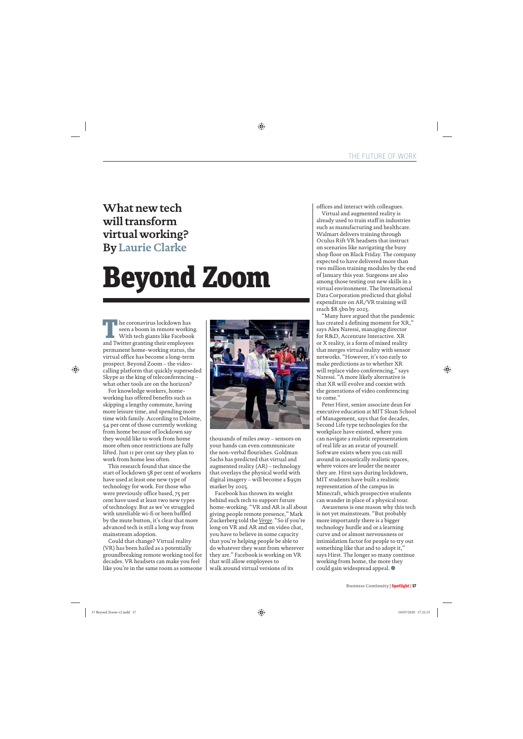### **What new tech will transform virtual working? By Laurie Clarke**

# Beyond Zoom

 $\blacksquare$  he coronavirus lockdown has seen a boom in remote working. With tech giants like Facebook and Twitter granting their employees permanent home-working status, the virtual office has become a long-term prospect. Beyond Zoom – the videocalling platform that quickly superseded Skype as the king of teleconferencing – what other tools are on the horizon?

For knowledge workers, homeworking has offered benefits such as skipping a lengthy commute, having more leisure time, and spending more time with family. According to Deloitte, 54 per cent of those currently working from home because of lockdown say they would like to work from home more often once restrictions are fully lifted. Just 11 per cent say they plan to work from home less often.

This research found that since the start of lockdown 58 per cent of workers have used at least one new type of technology for work. For those who were previously office based, 75 per cent have used at least two new types of technology. But as we've struggled with unreliable wi-fi or been baffled by the mute button, it's clear that more advanced tech is still a long way from mainstream adoption.

Could that change? Virtual reality (VR) has been hailed as a potentially groundbreaking remote working tool for decades. VR headsets can make you feel like you're in the same room as someone



thousands of miles away – sensors on your hands can even communicate the non-verbal flourishes. Goldman Sachs has predicted that virtual and augmented reality (AR) – technology that overlays the physical world with digital imagery – will become a \$95m market by 2025.

Facebook has thrown its weight behind such tech to support future home-working. "VR and AR is all about giving people remote presence," Mark Zuckerberg told the *Verge*. "So if you're long on VR and AR and on video chat, you have to believe in some capacity that you're helping people be able to do whatever they want from wherever they are." Facebook is working on VR that will allow employees to walk around virtual versions of its

offices and interact with colleagues.

Virtual and augmented reality is already used to train staff in industries such as manufacturing and healthcare. Walmart delivers training through Oculus Rift VR headsets that instruct on scenarios like navigating the busy shop floor on Black Friday. The company expected to have delivered more than two million training modules by the end of January this year. Surgeons are also among those testing out new skills in a virtual environment. The International Data Corporation predicted that global expenditure on AR/VR training will reach \$8.5bn by 2023.

"Many have argued that the pandemic has created a defining moment for XR," says Alex Naressi, managing director for R&D, Accenture Interactive. XR or X reality, is a form of mixed reality that merges virtual reality with sensor networks. "However, it's too early to make predictions as to whether XR will replace video conferencing," says Naressi. "A more likely alternative is that XR will evolve and coexist with the generations of video conferencing to come."

Peter Hirst, senior associate dean for executive education at MIT Sloan School of Management, says that for decades, Second Life type technologies for the workplace have existed, where you can navigate a realistic representation of real life as an avatar of yourself. Software exists where you can mill around in acoustically realistic spaces, where voices are louder the nearer they are. Hirst says during lockdown, MIT students have built a realistic representation of the campus in Minecraft, which prospective students can wander in place of a physical tour.

Awareness is one reason why this tech is not yet mainstream. "But probably more importantly there is a bigger technology hurdle and or a learning curve and or almost nervousness or intimidation factor for people to try out something like that and to adopt it," says Hirst. The longer so many continue working from home, the more they could gain widespread appeal.  $\bullet$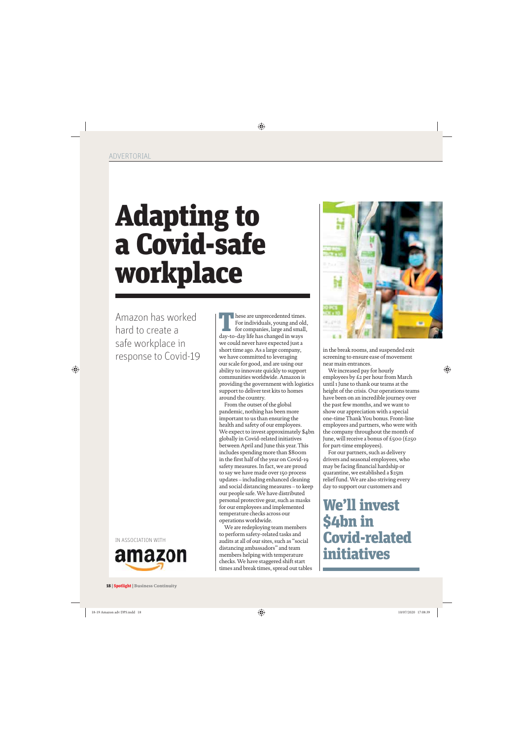# Adapting to a Covid-safe workplace

Amazon has worked hard to create a safe workplace in response to Covid-19

IN ASSOCIATION WITH



hese are unprecedented times.<br>For individuals, young and old<br>for companies, large and small,<br>day-to-day life has changed in ways. For individuals, young and old, for companies, large and small, day-to-day life has changed in ways we could never have expected just a short time ago. As a large company, we have committed to leveraging our scale for good, and are using our ability to innovate quickly to support communities worldwide. Amazon is providing the government with logistics support to deliver test kits to homes around the country.

From the outset of the global pandemic, nothing has been more important to us than ensuring the health and safety of our employees. We expect to invest approximately \$4bn globally in Covid-related initiatives between April and June this year. This includes spending more than \$800m in the first half of the year on Covid-19 safety measures. In fact, we are proud to say we have made over 150 process updates – including enhanced cleaning and social distancing measures – to keep our people safe. We have distributed personal protective gear, such as masks for our employees and implemented temperature checks across our operations worldwide.

We are redeploying team members to perform safety-related tasks and audits at all of our sites, such as "social distancing ambassadors" and team members helping with temperature checks. We have staggered shift start times and break times, spread out tables



in the break rooms, and suspended exit screening to ensure ease of movement near main entrances.

We increased pay for hourly employees by £2 per hour from March until 1 June to thank our teams at the height of the crisis. Our operations teams have been on an incredible journey over the past few months, and we want to show our appreciation with a special one-time Thank You bonus. Front-line employees and partners, who were with the company throughout the month of June, will receive a bonus of £500 (£250 for part-time employees).

For our partners, such as delivery drivers and seasonal employees, who may be facing financial hardship or quarantine, we established a \$25m relief fund. We are also striving every day to support our customers and

We'll invest \$4bn in Covid-related initiatives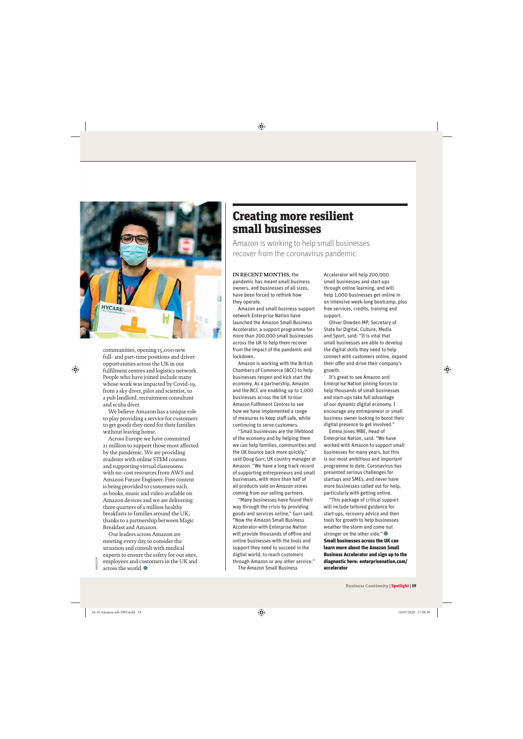

communities, opening 15,000 new full- and part-time positions and driver opportunities across the UK in our fulfilment centres and logistics network. People who have joined include many whose work was impacted by Covid-19, from a sky diver, pilot and scientist, to a pub landlord, recruitment consultant and scuba diver.

We believe Amazon has a unique role to play providing a service for customers to get goods they need for their families without leaving home.

Across Europe we have committed 21 million to support those most affected by the pandemic. We are providing students with online STEM courses and supporting virtual classrooms with no-cost resources from AWS and Amazon Future Engineer. Free content is being provided to customers such as books, music and video available on Amazon devices and we are delivering three quarters of a million healthy breakfasts to families around the UK, thanks to a partnership between Magic Breakfast and Amazon.

Our leaders across Amazon are meeting every day to consider the situation and consult with medical experts to ensure the safety for our sites, employees and customers in the UK and across the world.  $\bullet$ 

AMAZON

### Creating more resilient small businesses

Amazon is working to help small businesses recover from the coronavirus pandemic

#### **IN RECENT MONTHS**, the

pandemic has meant small business owners, and businesses of all sizes, have been forced to rethink how they operate.

Amazon and small business support network Enterprise Nation have launched the Amazon Small Business Accelerator, a support programme for more than 200,000 small businesses across the UK to help them recover from the impact of the pandemic and lockdown.

Amazon is working with the British Chambers of Commerce (BCC) to help businesses reopen and kick start the economy. As a partnership, Amazon and the BCC are enabling up to 1,000 businesses across the UK to tour Amazon Fulfilment Centres to see how we have implemented a range of measures to keep staff safe, while continuing to serve customers.

"Small businesses are the lifeblood of the economy and by helping them we can help families, communities and the UK bounce back more quickly," said Doug Gurr, UK country manager at Amazon. "We have a long track record of supporting entrepreneurs and small businesses, with more than half of all products sold on Amazon stores coming from our selling partners.

"Many businesses have found their way through the crisis by providing goods and services online," Gurr said. "Now the Amazon Small Business Accelerator with Enterprise Nation will provide thousands of offline and online businesses with the tools and support they need to succeed in the digital world, to reach customers through Amazon or any other service."

The Amazon Small Business

Accelerator will help 200,000 small businesses and start-ups through online learning, and will help 1,000 businesses get online in an intensive week-long bootcamp, plus free services, credits, training and support.

Oliver Dowden MP, Secretary of State for Digital, Culture, Media and Sport, said: "It is vital that small businesses are able to develop the digital skills they need to help connect with customers online, expand their offer and drive their company's growth.

It's great to see Amazon and Enterprise Nation joining forces to help thousands of small businesses and start-ups take full advantage of our dynamic digital economy. I encourage any entrepreneur or small business owner looking to boost their digital presence to get involved."

Emma Jones MBE, Head of Enterprise Nation, said: "We have worked with Amazon to support small businesses for many years, but this is our most ambitious and important programme to date. Coronavirus has presented serious challenges for startups and SMEs, and never have more businesses called out for help, particularly with getting online.

"This package of critical support will include tailored guidance for start-ups, recovery advice and then tools for growth to help businesses weather the storm and come out stronger on the other side." Small businesses across the UK can learn more about the Amazon Small Business Accelerator and sign up to the diagnostic here: enterprisenation.com/ accelerator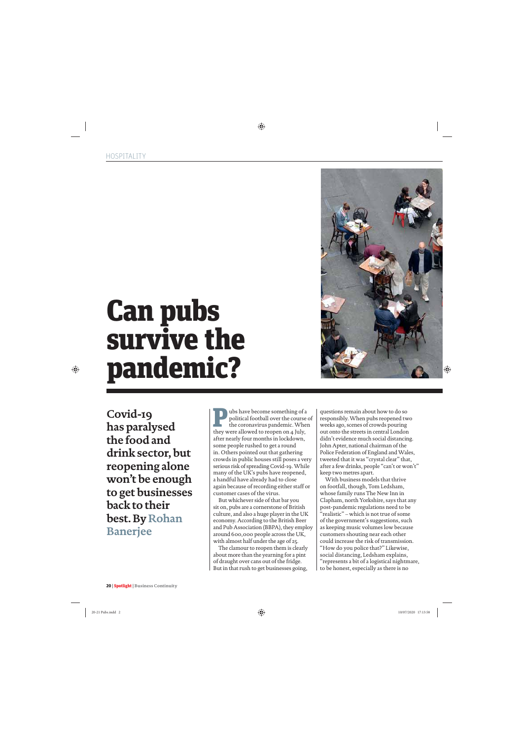

**Covid-19 has paralysed the food and drink sector, but reopening alone won't be enough to get businesses back to their best. By Rohan Banerjee**

**P** ubs have become something of a political football over the course of the coronavirus pandemic. When they were allowed to regnon on a luly. political football over the course of they were allowed to reopen on 4 July, after nearly four months in lockdown, some people rushed to get a round in. Others pointed out that gathering crowds in public houses still poses a very serious risk of spreading Covid-19. While many of the UK's pubs have reopened, a handful have already had to close again because of recording either staff or customer cases of the virus.

But whichever side of that bar you sit on, pubs are a cornerstone of British culture, and also a huge player in the UK economy. According to the British Beer and Pub Association (BBPA), they employ around 600,000 people across the UK, with almost half under the age of 25.

The clamour to reopen them is clearly about more than the yearning for a pint of draught over cans out of the fridge. But in that rush to get businesses going,

questions remain about how to do so responsibly. When pubs reopened two weeks ago, scenes of crowds pouring out onto the streets in central London didn't evidence much social distancing. John Apter, national chairman of the Police Federation of England and Wales, tweeted that it was "crystal clear" that, after a few drinks, people "can't or won't" keep two metres apart.

With business models that thrive on footfall, though, Tom Ledsham, whose family runs The New Inn in Clapham, north Yorkshire, says that any post-pandemic regulations need to be "realistic" – which is not true of some of the government's suggestions, such as keeping music volumes low because customers shouting near each other could increase the risk of transmission. "How do you police that?" Likewise, social distancing, Ledsham explains, "represents a bit of a logistical nightmare, to be honest, especially as there is no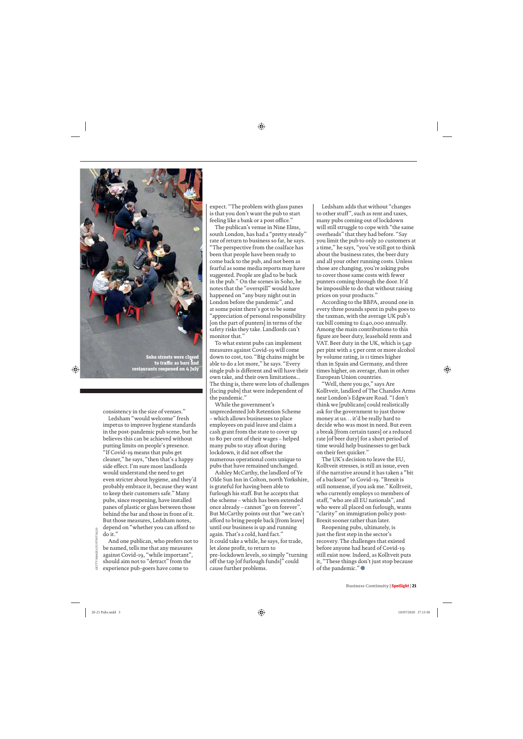

restaurants reopened on 4 July

consistency in the size of venues."

Ledsham "would welcome" fresh impetus to improve hygiene standards in the post-pandemic pub scene, but he believes this can be achieved without putting limits on people's presence. "If Covid-19 means that pubs get cleaner," he says, "then that's a happy side effect. I'm sure most landlords would understand the need to get even stricter about hygiene, and they'd probably embrace it, because they want to keep their customers safe." Many pubs, since reopening, have installed panes of plastic or glass between those behind the bar and those in front of it. But those measures, Ledsham notes, depend on "whether you can afford to do it."

And one publican, who prefers not to be named, tells me that any measures against Covid-19, "while important", should aim not to "detract" from the experience pub-goers have come to

expect. "The problem with glass panes is that you don't want the pub to start feeling like a bank or a post office."

The publican's venue in Nine Elms, south London, has had a "pretty steady" rate of return to business so far, he says. "The perspective from the coalface has been that people have been ready to come back to the pub, and not been as fearful as some media reports may have suggested. People are glad to be back in the pub." On the scenes in Soho, he notes that the "overspill" would have happened on "any busy night out in London before the pandemic", and at some point there's got to be some "appreciation of personal responsibility [on the part of punters] in terms of the safety risks they take. Landlords can't monitor that."

To what extent pubs can implement measures against Covid-19 will come down to cost, too. "Big chains might be able to do a lot more," he says. "Every single pub is different and will have their own take, and their own limitations... The thing is, there were lots of challenges [facing pubs] that were independent of the pandemic."

While the government's unprecedented Job Retention Scheme – which allows businesses to place employees on paid leave and claim a cash grant from the state to cover up to 80 per cent of their wages – helped many pubs to stay afloat during lockdown, it did not offset the numerous operational costs unique to pubs that have remained unchanged.

Ashley McCarthy, the landlord of Ye Olde Sun Inn in Colton, north Yorkshire, is grateful for having been able to furlough his staff. But he accepts that the scheme – which has been extended once already – cannot "go on forever". But McCarthy points out that "we can't afford to bring people back [from leave] until our business is up and running again. That's a cold, hard fact." It could take a while, he says, for trade, let alone profit, to return to pre-lockdown levels, so simply "turning off the tap [of furlough funds]" could cause further problems.

Ledsham adds that without "changes to other stuff", such as rent and taxes, many pubs coming out of lockdown will still struggle to cope with "the same overheads" that they had before. "Say you limit the pub to only 20 customers at a time," he says, "you've still got to think about the business rates, the beer duty and all your other running costs. Unless those are changing, you're asking pubs to cover those same costs with fewer punters coming through the door. It'd be impossible to do that without raising prices on your products."

According to the BBPA, around one in every three pounds spent in pubs goes to the taxman, with the average UK pub's tax bill coming to £140,000 annually. Among the main contributions to this figure are beer duty, leasehold rents and VAT. Beer duty in the UK, which is 54p per pint with a 5 per cent or more alcohol by volume rating, is 11 times higher than in Spain and Germany, and three times higher, on average, than in other European Union countries.

"Well, there you go," says Are Kolltveit, landlord of The Chandos Arms near London's Edgware Road. "I don't think we [publicans] could realistically ask for the government to just throw money at us… it'd be really hard to decide who was most in need. But even a break [from certain taxes] or a reduced rate [of beer duty] for a short period of time would help businesses to get back on their feet quicker."

The UK's decision to leave the EU, Kolltveit stresses, is still an issue, even if the narrative around it has taken a "bit of a backseat" to Covid-19. "Brexit is still nonsense, if you ask me." Kolltveit, who currently employs 10 members of staff, "who are all EU nationals", and who were all placed on furlough, wants "clarity" on immigration policy post-Brexit sooner rather than later.

Reopening pubs, ultimately, is just the first step in the sector's recovery. The challenges that existed before anyone had heard of Covid-19 still exist now. Indeed, as Kolltveit puts it, "These things don't just stop because of the pandemic." $\bullet$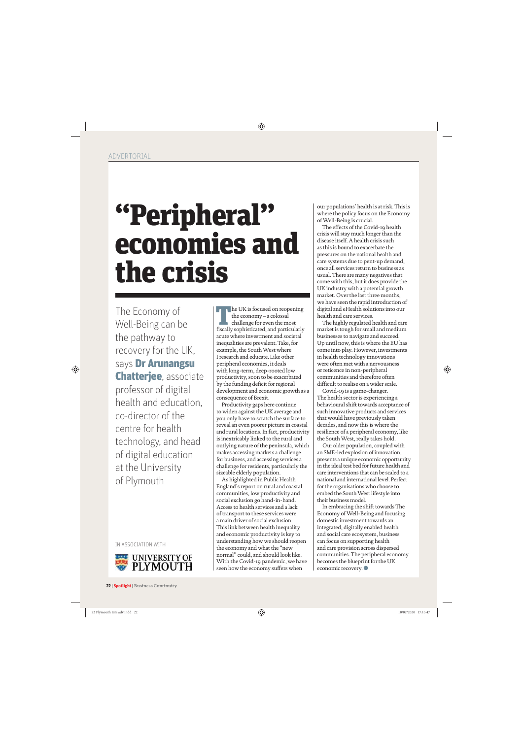### "Peripheral" economies and the crisis

The Economy of Well-Being can be the pathway to recovery for the UK, says **Dr Arunangsu** Chatterjee, associate professor of digital health and education, co-director of the centre for health technology, and head of digital education at the University of Plymouth

IN ASSOCIATION WITH



he UK is focused on reopening the economy – a colossal challenge for even the most fiscally sophisticated, and particularly acute where investment and societal inequalities are prevalent. Take, for example, the South West where I research and educate. Like other peripheral economies, it deals with long-term, deep-rooted low productivity, soon to be exacerbated by the funding deficit for regional development and economic growth as a consequence of Brexit.

Productivity gaps here continue to widen against the UK average and you only have to scratch the surface to reveal an even poorer picture in coastal and rural locations. In fact, productivity is inextricably linked to the rural and outlying nature of the peninsula, which makes accessing markets a challenge for business, and accessing services a challenge for residents, particularly the sizeable elderly population.

As highlighted in Public Health England's report on rural and coastal communities, low productivity and social exclusion go hand-in-hand. Access to health services and a lack of transport to these services were a main driver of social exclusion. This link between health inequality and economic productivity is key to understanding how we should reopen the economy and what the "new normal" could, and should look like. With the Covid-19 pandemic, we have seen how the economy suffers when

our populations' health is at risk. This is where the policy focus on the Economy of Well-Being is crucial.

The effects of the Covid-19 health crisis will stay much longer than the disease itself. A health crisis such as this is bound to exacerbate the pressures on the national health and care systems due to pent-up demand, once all services return to business as usual. There are many negatives that come with this, but it does provide the UK industry with a potential growth market. Over the last three months, we have seen the rapid introduction of digital and eHealth solutions into our health and care services.

The highly regulated health and care market is tough for small and medium businesses to navigate and succeed. Up until now, this is where the EU has come into play. However, investments in health technology innovations were often met with a nervousness or reticence in non-peripheral communities and therefore often difficult to realise on a wider scale.

Covid-19 is a game-changer. The health sector is experiencing a behavioural shift towards acceptance of such innovative products and services that would have previously taken decades, and now this is where the resilience of a peripheral economy, like the South West, really takes hold.

Our older population, coupled with an SME-led explosion of innovation, presents a unique economic opportunity in the ideal test bed for future health and care interventions that can be scaled to a national and international level. Perfect for the organisations who choose to embed the South West lifestyle into their business model.

In embracing the shift towards The Economy of Well-Being and focusing domestic investment towards an integrated, digitally enabled health and social care ecosystem, business can focus on supporting health and care provision across dispersed communities. The peripheral economy becomes the blueprint for the UK economic recovery.<sup>●</sup>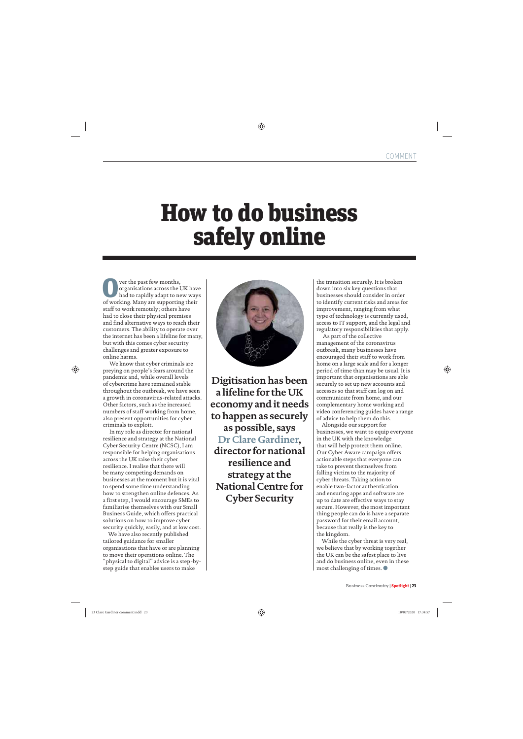### How to do business safely online

**OVERTUAN SURVEY THE PAST OF THE PART OF THE PROPERTY OF SUPPORT OF THE PART OF SUPPORT IN A SUPPORT IN A SUPPORT IN A SUPPORT IN A SUPPORT IN A SUPPORT IN A SUPPORT IN A SUPPORT IN A SUPPORT IN A SUPPORT IN A SUPPORT IN A** organisations across the UK have had to rapidly adapt to new ways of working. Many are supporting their staff to work remotely; others have had to close their physical premises and find alternative ways to reach their customers. The ability to operate over the internet has been a lifeline for many, but with this comes cyber security challenges and greater exposure to online harms.

 We know that cyber criminals are preying on people's fears around the pandemic and, while overall levels of cybercrime have remained stable throughout the outbreak, we have seen a growth in coronavirus-related attacks. Other factors, such as the increased numbers of staff working from home, also present opportunities for cyber criminals to exploit.

 In my role as director for national resilience and strategy at the National Cyber Security Centre (NCSC), I am responsible for helping organisations across the UK raise their cyber resilience. I realise that there will be many competing demands on businesses at the moment but it is vital to spend some time understanding how to strengthen online defences. As a first step, I would encourage SMEs to familiarise themselves with our Small Business Guide, which offers practical solutions on how to improve cyber security quickly, easily, and at low cost.

We have also recently published tailored guidance for smaller organisations that have or are planning to move their operations online. The "physical to digital" advice is a step-bystep guide that enables users to make



**Digitisation has been a lifeline for the UK economy and it needs to happen as securely as possible, says Dr Clare Gardiner, director for national resilience and strategy at the National Centre for Cyber Security**

the transition securely. It is broken down into six key questions that businesses should consider in order to identify current risks and areas for improvement, ranging from what type of technology is currently used, access to IT support, and the legal and regulatory responsibilities that apply.

 As part of the collective management of the coronavirus outbreak, many businesses have encouraged their staff to work from home on a large scale and for a longer period of time than may be usual. It is important that organisations are able securely to set up new accounts and accesses so that staff can log on and communicate from home, and our complementary home working and video conferencing guides have a range of advice to help them do this.

Alongside our support for businesses, we want to equip everyone in the UK with the knowledge that will help protect them online. Our Cyber Aware campaign offers actionable steps that everyone can take to prevent themselves from falling victim to the majority of cyber threats. Taking action to enable two-factor authentication and ensuring apps and software are up to date are effective ways to stay secure. However, the most important thing people can do is have a separate password for their email account, because that really is the key to the kingdom.

While the cyber threat is very real, we believe that by working together the UK can be the safest place to live and do business online, even in these most challenging of times.  $\bullet$